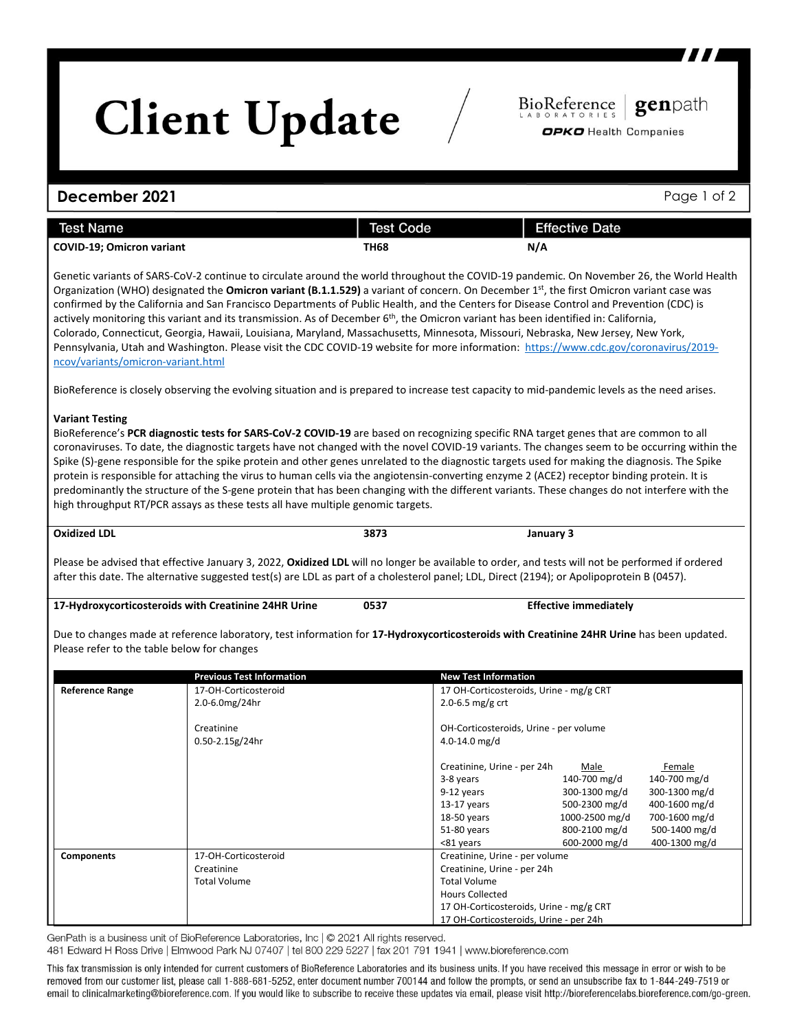# **Client Update**

### **December 2021** Page 1 of 2

| <b>Test Name</b>                 | Test Code | <b>Effective Date</b> |
|----------------------------------|-----------|-----------------------|
| <b>COVID-19; Omicron variant</b> | TH68      | N/A                   |

Genetic variants of SARS-CoV-2 continue to circulate around the world throughout the COVID-19 pandemic. On November 26, the World Health Organization (WHO) designated the **Omicron variant (B.1.1.529)** a variant of concern. On December 1st, the first Omicron variant case was confirmed by the California and San Francisco Departments of Public Health, and the Centers for Disease Control and Prevention (CDC) is actively monitoring this variant and its transmission. As of December  $6<sup>th</sup>$ , the Omicron variant has been identified in: California, Colorado, Connecticut, Georgia, Hawaii, Louisiana, Maryland, Massachusetts, Minnesota, Missouri, Nebraska, New Jersey, New York, Pennsylvania, Utah and Washington. Please visit the CDC COVID-19 website for more information: [https://www.cdc.gov/coronavirus/2019](https://www.cdc.gov/coronavirus/2019-ncov/variants/omicron-variant.html) [ncov/variants/omicron-variant.html](https://www.cdc.gov/coronavirus/2019-ncov/variants/omicron-variant.html)

BioReference is closely observing the evolving situation and is prepared to increase test capacity to mid-pandemic levels as the need arises.

#### **Variant Testing**

BioReference's **PCR diagnostic tests for SARS-CoV-2 COVID-19** are based on recognizing specific RNA target genes that are common to all coronaviruses. To date, the diagnostic targets have not changed with the novel COVID-19 variants. The changes seem to be occurring within the Spike (S)-gene responsible for the spike protein and other genes unrelated to the diagnostic targets used for making the diagnosis. The Spike protein is responsible for attaching the virus to human cells via the angiotensin-converting enzyme 2 (ACE2) receptor binding protein. It is predominantly the structure of the S-gene protein that has been changing with the different variants. These changes do not interfere with the high throughput RT/PCR assays as these tests all have multiple genomic targets.

**Oxidized LDL 3873 January 3**

Please be advised that effective January 3, 2022, **Oxidized LDL** will no longer be available to order, and tests will not be performed if ordered after this date. The alternative suggested test(s) are LDL as part of a cholesterol panel; LDL, Direct (2194); or Apolipoprotein B (0457).

### **17-Hydroxycorticosteroids with Creatinine 24HR Urine 0537 Effective immediately**

Due to changes made at reference laboratory, test information for **17-Hydroxycorticosteroids with Creatinine 24HR Urine** has been updated. Please refer to the table below for changes

|                        | <b>Previous Test Information</b> | <b>New Test Information</b> |                                         |               |  |
|------------------------|----------------------------------|-----------------------------|-----------------------------------------|---------------|--|
| <b>Reference Range</b> | 17-OH-Corticosteroid             |                             | 17 OH-Corticosteroids, Urine - mg/g CRT |               |  |
|                        | 2.0-6.0mg/24hr                   | 2.0-6.5 mg/g $crt$          |                                         |               |  |
|                        |                                  |                             |                                         |               |  |
|                        | Creatinine                       |                             | OH-Corticosteroids, Urine - per volume  |               |  |
|                        | $0.50 - 2.15g/24hr$              | 4.0-14.0 $mg/d$             |                                         |               |  |
|                        |                                  | Creatinine, Urine - per 24h | Male                                    | Female        |  |
|                        |                                  | 3-8 years                   | 140-700 mg/d                            | 140-700 mg/d  |  |
|                        |                                  | 9-12 years                  | 300-1300 mg/d                           | 300-1300 mg/d |  |
|                        |                                  | 13-17 years                 | 500-2300 mg/d                           | 400-1600 mg/d |  |
|                        |                                  | 18-50 years                 | 1000-2500 mg/d                          | 700-1600 mg/d |  |
|                        |                                  | 51-80 years                 | 800-2100 mg/d                           | 500-1400 mg/d |  |
|                        |                                  | <81 years                   | 600-2000 mg/d                           | 400-1300 mg/d |  |
| <b>Components</b>      | 17-OH-Corticosteroid             |                             | Creatinine, Urine - per volume          |               |  |
|                        | Creatinine                       |                             | Creatinine, Urine - per 24h             |               |  |
|                        | <b>Total Volume</b>              | <b>Total Volume</b>         |                                         |               |  |
|                        |                                  | <b>Hours Collected</b>      |                                         |               |  |
|                        |                                  |                             | 17 OH-Corticosteroids, Urine - mg/g CRT |               |  |
|                        |                                  |                             | 17 OH-Corticosteroids, Urine - per 24h  |               |  |

GenPath is a business unit of BioReference Laboratories, Inc | @ 2021 All rights reserved.

481 Edward H Ross Drive | Elmwood Park NJ 07407 | tel 800 229 5227 | fax 201 791 1941 | www.bioreference.com

This fax transmission is only intended for current customers of BioReference Laboratories and its business units. If you have received this message in error or wish to be removed from our customer list, please call 1-888-681-5252, enter document number 700144 and follow the prompts, or send an unsubscribe fax to 1-844-249-7519 or email to clinicalmarketing@bioreference.com. If you would like to subscribe to receive these updates via email, please visit http://bioreferencelabs.bioreference.com/go-green.

genpath

BioReference

OPKO Health Companies